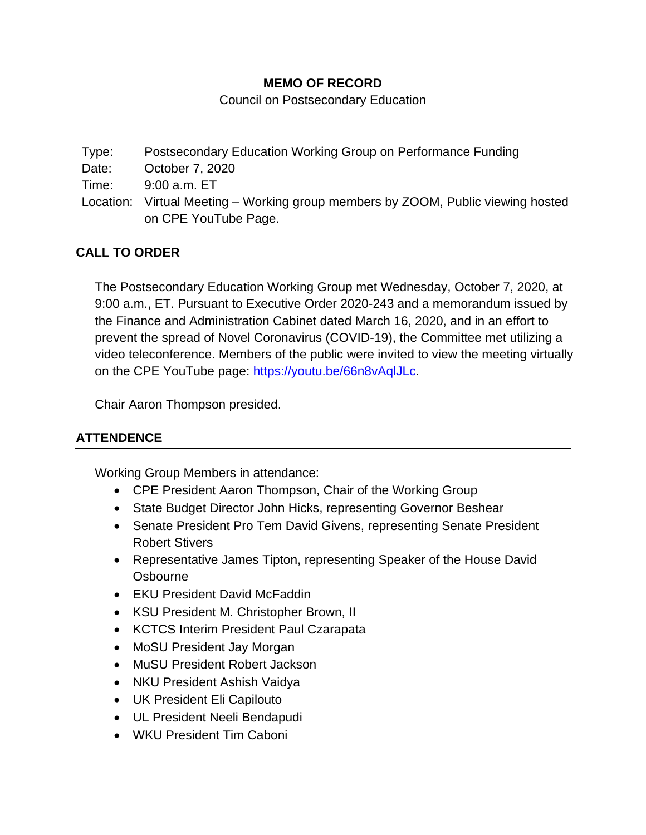### **MEMO OF RECORD**

Council on Postsecondary Education

| Type: | Postsecondary Education Working Group on Performance Funding                                             |
|-------|----------------------------------------------------------------------------------------------------------|
| Date: | October 7, 2020                                                                                          |
| Time: | 9:00 a.m. ET                                                                                             |
|       | Location: Virtual Meeting – Working group members by ZOOM, Public viewing hosted<br>on CPE YouTube Page. |

## **CALL TO ORDER**

The Postsecondary Education Working Group met Wednesday, October 7, 2020, at 9:00 a.m., ET. Pursuant to Executive Order 2020-243 and a memorandum issued by the Finance and Administration Cabinet dated March 16, 2020, and in an effort to prevent the spread of Novel Coronavirus (COVID-19), the Committee met utilizing a video teleconference. Members of the public were invited to view the meeting virtually on the CPE YouTube page: [https://youtu.be/66n8vAqlJLc.](https://youtu.be/66n8vAqlJLc)

Chair Aaron Thompson presided.

# **ATTENDENCE**

Working Group Members in attendance:

- CPE President Aaron Thompson, Chair of the Working Group
- State Budget Director John Hicks, representing Governor Beshear
- Senate President Pro Tem David Givens, representing Senate President Robert Stivers
- Representative James Tipton, representing Speaker of the House David **Osbourne**
- EKU President David McFaddin
- KSU President M. Christopher Brown, II
- KCTCS Interim President Paul Czarapata
- MoSU President Jay Morgan
- MuSU President Robert Jackson
- NKU President Ashish Vaidya
- UK President Eli Capilouto
- UL President Neeli Bendapudi
- WKU President Tim Caboni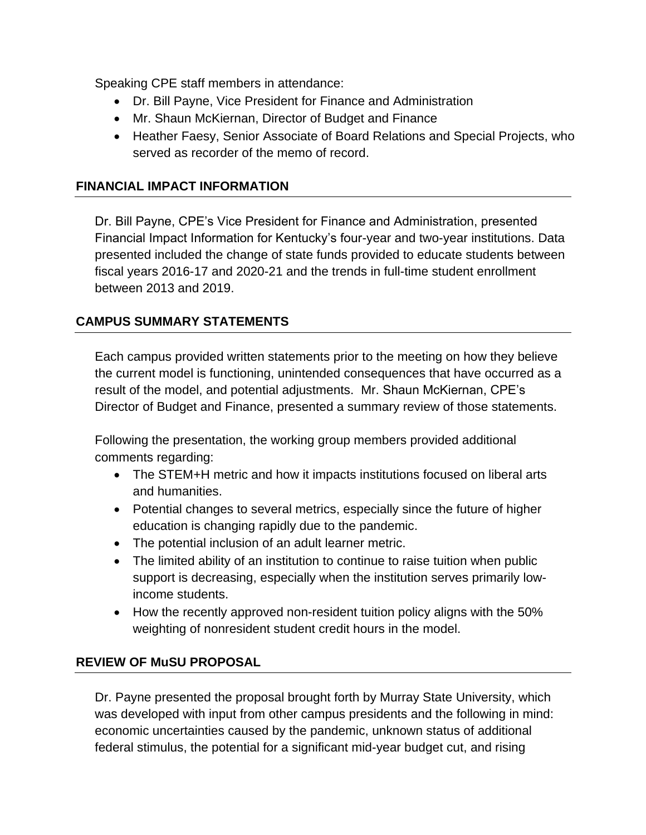Speaking CPE staff members in attendance:

- Dr. Bill Payne, Vice President for Finance and Administration
- Mr. Shaun McKiernan, Director of Budget and Finance
- Heather Faesy, Senior Associate of Board Relations and Special Projects, who served as recorder of the memo of record.

#### **FINANCIAL IMPACT INFORMATION**

Dr. Bill Payne, CPE's Vice President for Finance and Administration, presented Financial Impact Information for Kentucky's four-year and two-year institutions. Data presented included the change of state funds provided to educate students between fiscal years 2016-17 and 2020-21 and the trends in full-time student enrollment between 2013 and 2019.

## **CAMPUS SUMMARY STATEMENTS**

Each campus provided written statements prior to the meeting on how they believe the current model is functioning, unintended consequences that have occurred as a result of the model, and potential adjustments. Mr. Shaun McKiernan, CPE's Director of Budget and Finance, presented a summary review of those statements.

Following the presentation, the working group members provided additional comments regarding:

- The STEM+H metric and how it impacts institutions focused on liberal arts and humanities.
- Potential changes to several metrics, especially since the future of higher education is changing rapidly due to the pandemic.
- The potential inclusion of an adult learner metric.
- The limited ability of an institution to continue to raise tuition when public support is decreasing, especially when the institution serves primarily lowincome students.
- How the recently approved non-resident tuition policy aligns with the 50% weighting of nonresident student credit hours in the model.

#### **REVIEW OF MuSU PROPOSAL**

Dr. Payne presented the proposal brought forth by Murray State University, which was developed with input from other campus presidents and the following in mind: economic uncertainties caused by the pandemic, unknown status of additional federal stimulus, the potential for a significant mid-year budget cut, and rising